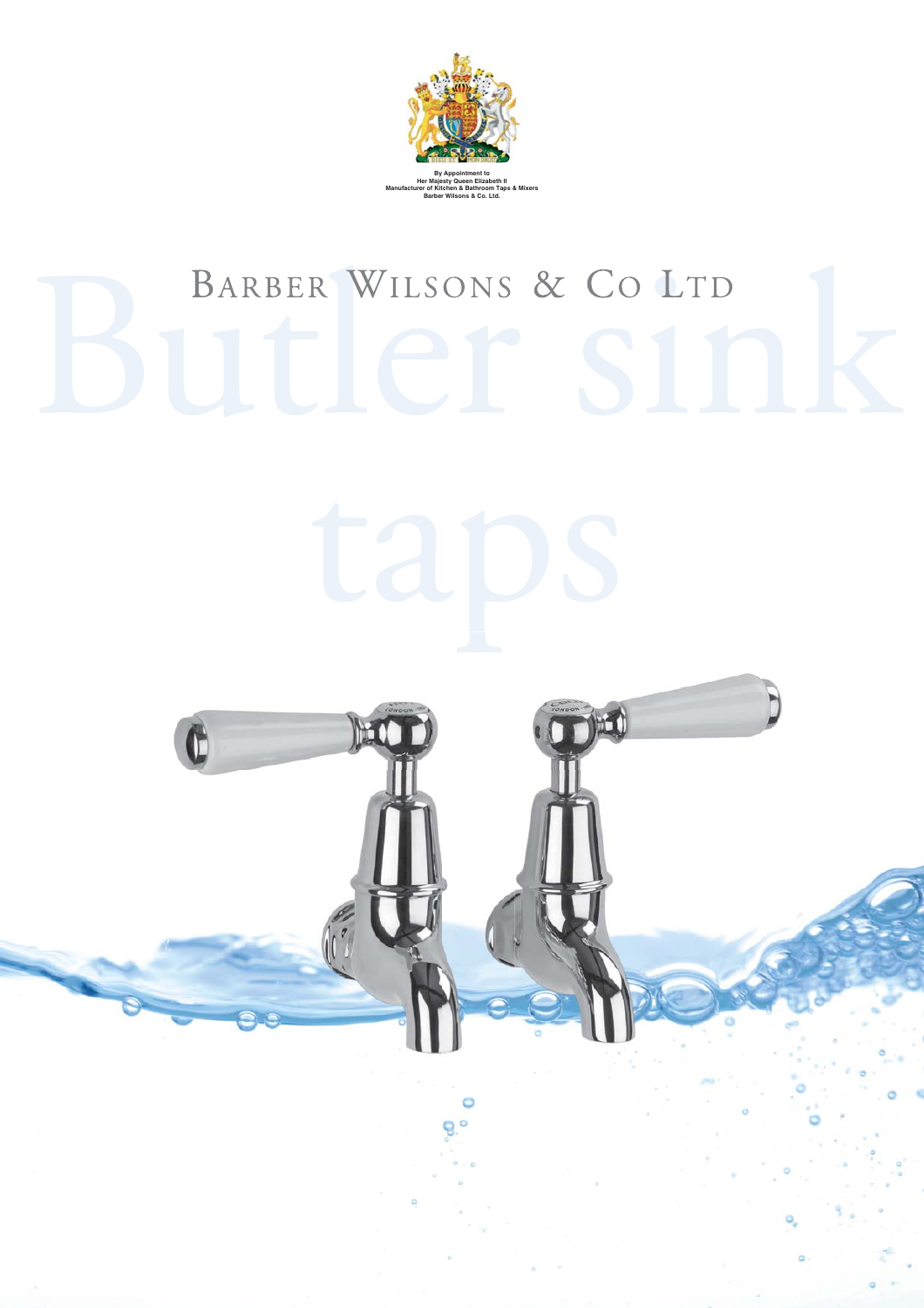

## BARBER WILSONS & CO LTD